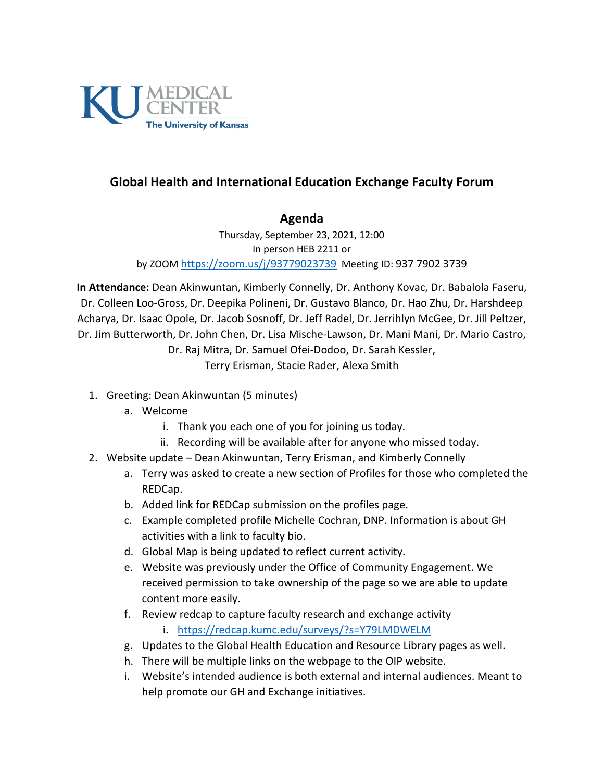

## **Global Health and International Education Exchange Faculty Forum**

## **Agenda**

Thursday, September 23, 2021, 12:00 In person HEB 2211 or by ZOOM<https://zoom.us/j/93779023739> Meeting ID: 937 7902 3739

**In Attendance:** Dean Akinwuntan, Kimberly Connelly, Dr. Anthony Kovac, Dr. Babalola Faseru, Dr. Colleen Loo-Gross, Dr. Deepika Polineni, Dr. Gustavo Blanco, Dr. Hao Zhu, Dr. Harshdeep Acharya, Dr. Isaac Opole, Dr. Jacob Sosnoff, Dr. Jeff Radel, Dr. Jerrihlyn McGee, Dr. Jill Peltzer, Dr. Jim Butterworth, Dr. John Chen, Dr. Lisa Mische-Lawson, Dr. Mani Mani, Dr. Mario Castro, Dr. Raj Mitra, Dr. Samuel Ofei-Dodoo, Dr. Sarah Kessler,

Terry Erisman, Stacie Rader, Alexa Smith

- 1. Greeting: Dean Akinwuntan (5 minutes)
	- a. Welcome
		- i. Thank you each one of you for joining us today.
		- ii. Recording will be available after for anyone who missed today.
- 2. Website update Dean Akinwuntan, Terry Erisman, and Kimberly Connelly
	- a. Terry was asked to create a new section of Profiles for those who completed the REDCap.
	- b. Added link for REDCap submission on the profiles page.
	- c. Example completed profile Michelle Cochran, DNP. Information is about GH activities with a link to faculty bio.
	- d. Global Map is being updated to reflect current activity.
	- e. Website was previously under the Office of Community Engagement. We received permission to take ownership of the page so we are able to update content more easily.
	- f. Review redcap to capture faculty research and exchange activity
		- i. <https://redcap.kumc.edu/surveys/?s=Y79LMDWELM>
	- g. Updates to the Global Health Education and Resource Library pages as well.
	- h. There will be multiple links on the webpage to the OIP website.
	- i. Website's intended audience is both external and internal audiences. Meant to help promote our GH and Exchange initiatives.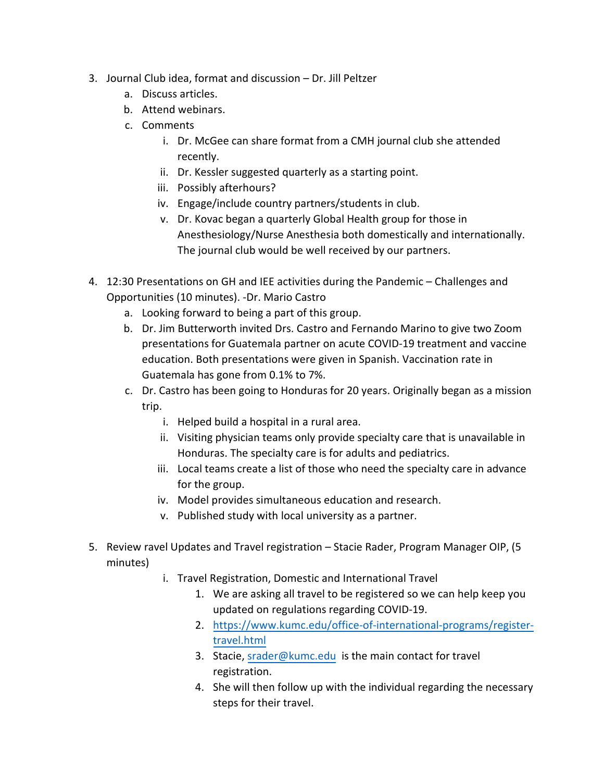- 3. Journal Club idea, format and discussion Dr. Jill Peltzer
	- a. Discuss articles.
	- b. Attend webinars.
	- c. Comments
		- i. Dr. McGee can share format from a CMH journal club she attended recently.
		- ii. Dr. Kessler suggested quarterly as a starting point.
		- iii. Possibly afterhours?
		- iv. Engage/include country partners/students in club.
		- v. Dr. Kovac began a quarterly Global Health group for those in Anesthesiology/Nurse Anesthesia both domestically and internationally. The journal club would be well received by our partners.
- 4. 12:30 Presentations on GH and IEE activities during the Pandemic Challenges and Opportunities (10 minutes). -Dr. Mario Castro
	- a. Looking forward to being a part of this group.
	- b. Dr. Jim Butterworth invited Drs. Castro and Fernando Marino to give two Zoom presentations for Guatemala partner on acute COVID-19 treatment and vaccine education. Both presentations were given in Spanish. Vaccination rate in Guatemala has gone from 0.1% to 7%.
	- c. Dr. Castro has been going to Honduras for 20 years. Originally began as a mission trip.
		- i. Helped build a hospital in a rural area.
		- ii. Visiting physician teams only provide specialty care that is unavailable in Honduras. The specialty care is for adults and pediatrics.
		- iii. Local teams create a list of those who need the specialty care in advance for the group.
		- iv. Model provides simultaneous education and research.
		- v. Published study with local university as a partner.
- 5. Review ravel Updates and Travel registration Stacie Rader, Program Manager OIP, (5 minutes)
	- i. Travel Registration, Domestic and International Travel
		- 1. We are asking all travel to be registered so we can help keep you updated on regulations regarding COVID-19.
		- 2. [https://www.kumc.edu/office-of-international-programs/register](https://www.kumc.edu/office-of-international-programs/register-travel.html)[travel.html](https://www.kumc.edu/office-of-international-programs/register-travel.html)
		- 3. Stacie, [srader@kumc.edu](mailto:srader@kumc.edu) is the main contact for travel registration.
		- 4. She will then follow up with the individual regarding the necessary steps for their travel.